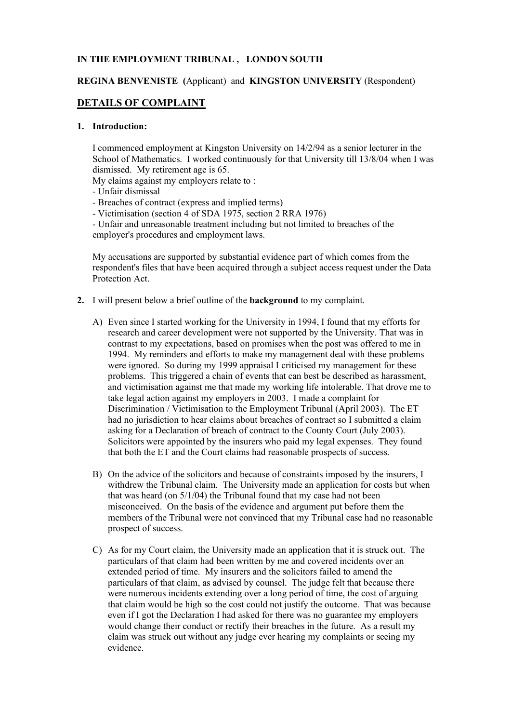## **IN THE EMPLOYMENT TRIBUNAL , LONDON SOUTH**

## **REGINA BENVENISTE (**Applicant) and **KINGSTON UNIVERSITY** (Respondent)

# **DETAILS OF COMPLAINT**

## **1. Introduction:**

I commenced employment at Kingston University on 14/2/94 as a senior lecturer in the School of Mathematics. I worked continuously for that University till 13/8/04 when I was dismissed. My retirement age is 65.

My claims against my employers relate to :

- Unfair dismissal
- Breaches of contract (express and implied terms)
- Victimisation (section 4 of SDA 1975, section 2 RRA 1976)

- Unfair and unreasonable treatment including but not limited to breaches of the employer's procedures and employment laws.

My accusations are supported by substantial evidence part of which comes from the respondent's files that have been acquired through a subject access request under the Data Protection Act.

- **2.** I will present below a brief outline of the **background** to my complaint.
	- A) Even since I started working for the University in 1994, I found that my efforts for research and career development were not supported by the University. That was in contrast to my expectations, based on promises when the post was offered to me in 1994. My reminders and efforts to make my management deal with these problems were ignored. So during my 1999 appraisal I criticised my management for these problems. This triggered a chain of events that can best be described as harassment, and victimisation against me that made my working life intolerable. That drove me to take legal action against my employers in 2003. I made a complaint for Discrimination / Victimisation to the Employment Tribunal (April 2003). The ET had no jurisdiction to hear claims about breaches of contract so I submitted a claim asking for a Declaration of breach of contract to the County Court (July 2003). Solicitors were appointed by the insurers who paid my legal expenses. They found that both the ET and the Court claims had reasonable prospects of success.
	- B) On the advice of the solicitors and because of constraints imposed by the insurers, I withdrew the Tribunal claim. The University made an application for costs but when that was heard (on 5/1/04) the Tribunal found that my case had not been misconceived. On the basis of the evidence and argument put before them the members of the Tribunal were not convinced that my Tribunal case had no reasonable prospect of success.
	- C) As for my Court claim, the University made an application that it is struck out. The particulars of that claim had been written by me and covered incidents over an extended period of time. My insurers and the solicitors failed to amend the particulars of that claim, as advised by counsel. The judge felt that because there were numerous incidents extending over a long period of time, the cost of arguing that claim would be high so the cost could not justify the outcome. That was because even if I got the Declaration I had asked for there was no guarantee my employers would change their conduct or rectify their breaches in the future. As a result my claim was struck out without any judge ever hearing my complaints or seeing my evidence.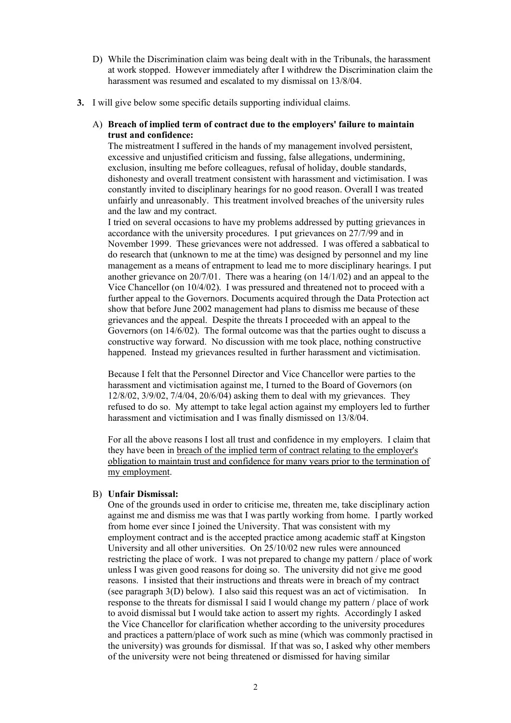- D) While the Discrimination claim was being dealt with in the Tribunals, the harassment at work stopped. However immediately after I withdrew the Discrimination claim the harassment was resumed and escalated to my dismissal on 13/8/04.
- **3.** I will give below some specific details supporting individual claims.

## A) **Breach of implied term of contract due to the employers' failure to maintain trust and confidence:**

The mistreatment I suffered in the hands of my management involved persistent, excessive and unjustified criticism and fussing, false allegations, undermining, exclusion, insulting me before colleagues, refusal of holiday, double standards, dishonesty and overall treatment consistent with harassment and victimisation. I was constantly invited to disciplinary hearings for no good reason. Overall I was treated unfairly and unreasonably. This treatment involved breaches of the university rules and the law and my contract.

I tried on several occasions to have my problems addressed by putting grievances in accordance with the university procedures. I put grievances on 27/7/99 and in November 1999. These grievances were not addressed. I was offered a sabbatical to do research that (unknown to me at the time) was designed by personnel and my line management as a means of entrapment to lead me to more disciplinary hearings. I put another grievance on 20/7/01. There was a hearing (on 14/1/02) and an appeal to the Vice Chancellor (on 10/4/02). I was pressured and threatened not to proceed with a further appeal to the Governors. Documents acquired through the Data Protection act show that before June 2002 management had plans to dismiss me because of these grievances and the appeal. Despite the threats I proceeded with an appeal to the Governors (on 14/6/02). The formal outcome was that the parties ought to discuss a constructive way forward. No discussion with me took place, nothing constructive happened. Instead my grievances resulted in further harassment and victimisation.

Because I felt that the Personnel Director and Vice Chancellor were parties to the harassment and victimisation against me, I turned to the Board of Governors (on 12/8/02, 3/9/02, 7/4/04, 20/6/04) asking them to deal with my grievances. They refused to do so. My attempt to take legal action against my employers led to further harassment and victimisation and I was finally dismissed on 13/8/04.

For all the above reasons I lost all trust and confidence in my employers. I claim that they have been in breach of the implied term of contract relating to the employer's obligation to maintain trust and confidence for many years prior to the termination of my employment.

## B) **Unfair Dismissal:**

One of the grounds used in order to criticise me, threaten me, take disciplinary action against me and dismiss me was that I was partly working from home. I partly worked from home ever since I joined the University. That was consistent with my employment contract and is the accepted practice among academic staff at Kingston University and all other universities. On 25/10/02 new rules were announced restricting the place of work. I was not prepared to change my pattern / place of work unless I was given good reasons for doing so. The university did not give me good reasons. I insisted that their instructions and threats were in breach of my contract (see paragraph 3(D) below). I also said this request was an act of victimisation. In response to the threats for dismissal I said I would change my pattern / place of work to avoid dismissal but I would take action to assert my rights. Accordingly I asked the Vice Chancellor for clarification whether according to the university procedures and practices a pattern/place of work such as mine (which was commonly practised in the university) was grounds for dismissal. If that was so, I asked why other members of the university were not being threatened or dismissed for having similar